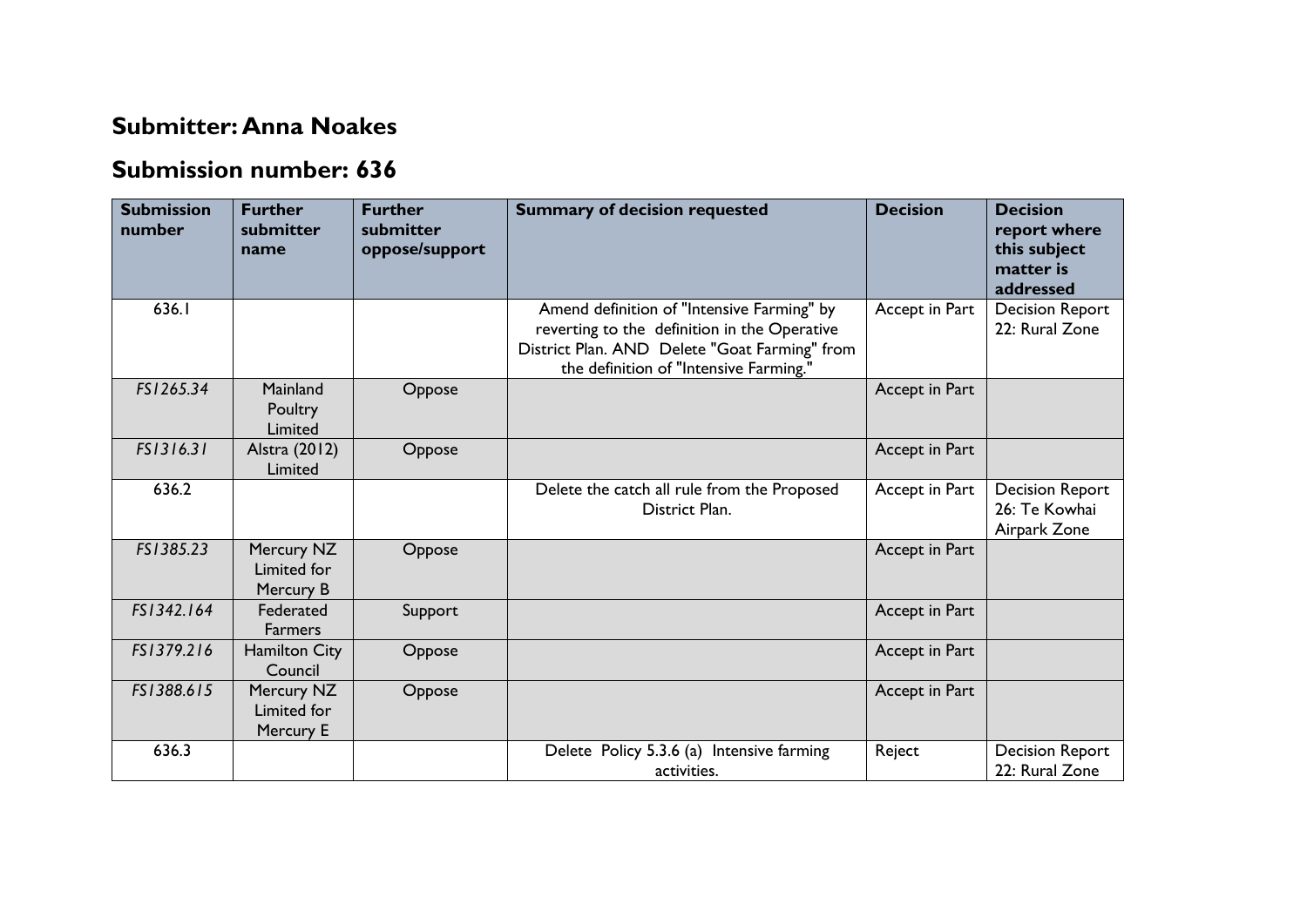## **Submitter: Anna Noakes**

## **Submission number: 636**

| <b>Submission</b><br>number | <b>Further</b><br>submitter<br>name    | <b>Further</b><br>submitter<br>oppose/support | <b>Summary of decision requested</b>                                                                                                                                                  | <b>Decision</b> | <b>Decision</b><br>report where<br>this subject<br>matter is<br>addressed |
|-----------------------------|----------------------------------------|-----------------------------------------------|---------------------------------------------------------------------------------------------------------------------------------------------------------------------------------------|-----------------|---------------------------------------------------------------------------|
| 636.I                       |                                        |                                               | Amend definition of "Intensive Farming" by<br>reverting to the definition in the Operative<br>District Plan. AND Delete "Goat Farming" from<br>the definition of "Intensive Farming." | Accept in Part  | <b>Decision Report</b><br>22: Rural Zone                                  |
| FS1265.34                   | Mainland<br>Poultry<br>Limited         | Oppose                                        |                                                                                                                                                                                       | Accept in Part  |                                                                           |
| FS1316.31                   | Alstra (2012)<br>Limited               | Oppose                                        |                                                                                                                                                                                       | Accept in Part  |                                                                           |
| 636.2                       |                                        |                                               | Delete the catch all rule from the Proposed<br>District Plan.                                                                                                                         | Accept in Part  | <b>Decision Report</b><br>26: Te Kowhai<br>Airpark Zone                   |
| FS1385.23                   | Mercury NZ<br>Limited for<br>Mercury B | Oppose                                        |                                                                                                                                                                                       | Accept in Part  |                                                                           |
| FS1342.164                  | Federated<br><b>Farmers</b>            | Support                                       |                                                                                                                                                                                       | Accept in Part  |                                                                           |
| FS1379.216                  | <b>Hamilton City</b><br>Council        | Oppose                                        |                                                                                                                                                                                       | Accept in Part  |                                                                           |
| FS1388.615                  | Mercury NZ<br>Limited for<br>Mercury E | Oppose                                        |                                                                                                                                                                                       | Accept in Part  |                                                                           |
| 636.3                       |                                        |                                               | Delete Policy 5.3.6 (a) Intensive farming<br>activities.                                                                                                                              | Reject          | <b>Decision Report</b><br>22: Rural Zone                                  |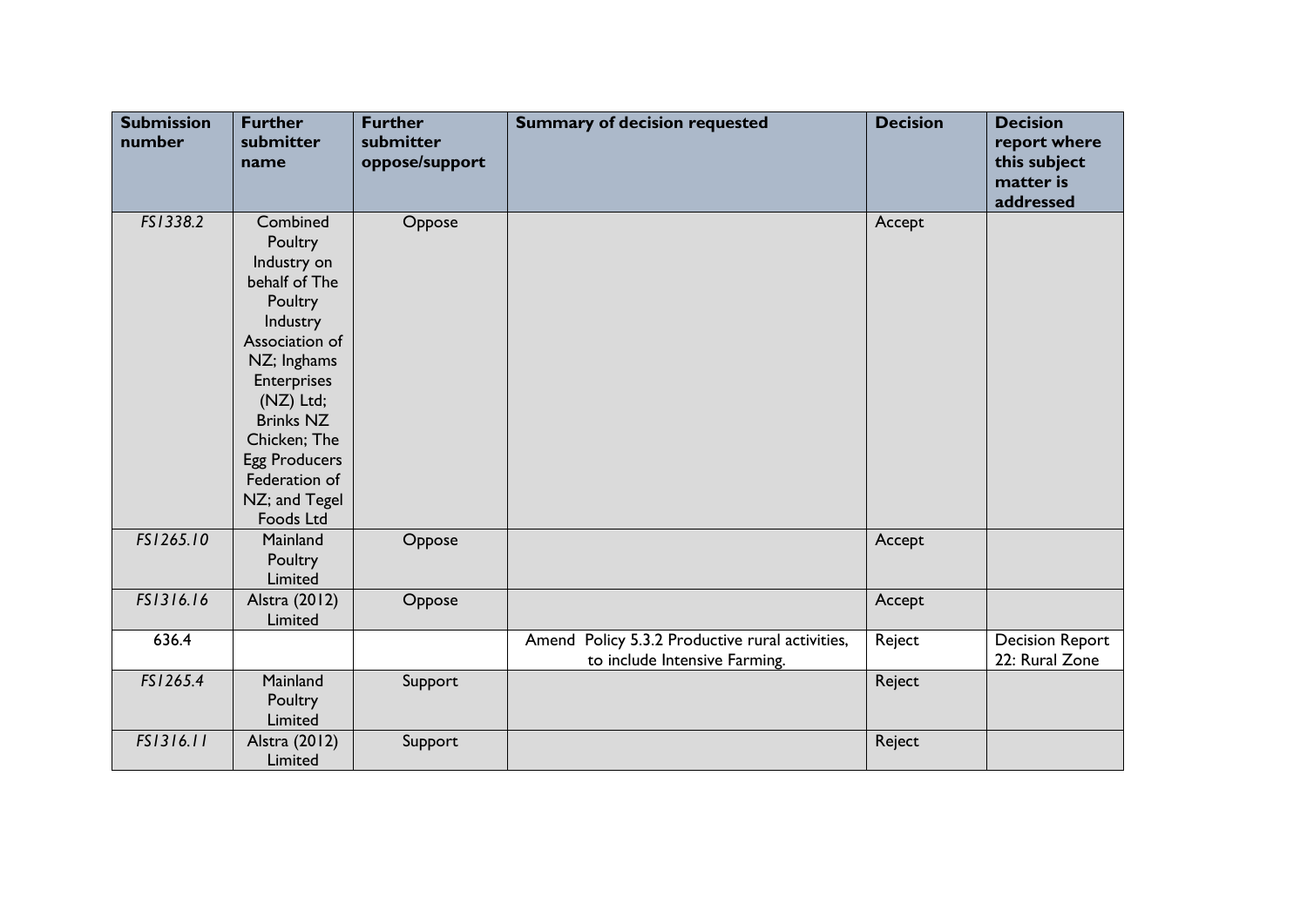| <b>Submission</b><br>number | <b>Further</b><br>submitter<br>name                                                                                                                                                                                                                       | <b>Further</b><br>submitter<br>oppose/support | <b>Summary of decision requested</b>                                             | <b>Decision</b> | <b>Decision</b><br>report where<br>this subject<br>matter is<br>addressed |
|-----------------------------|-----------------------------------------------------------------------------------------------------------------------------------------------------------------------------------------------------------------------------------------------------------|-----------------------------------------------|----------------------------------------------------------------------------------|-----------------|---------------------------------------------------------------------------|
| FS1338.2                    | Combined<br>Poultry<br>Industry on<br>behalf of The<br>Poultry<br>Industry<br>Association of<br>NZ; Inghams<br><b>Enterprises</b><br>(NZ) Ltd;<br><b>Brinks NZ</b><br>Chicken; The<br><b>Egg Producers</b><br>Federation of<br>NZ; and Tegel<br>Foods Ltd | Oppose                                        |                                                                                  | Accept          |                                                                           |
| FS1265.10                   | Mainland<br>Poultry<br>Limited                                                                                                                                                                                                                            | Oppose                                        |                                                                                  | Accept          |                                                                           |
| FS1316.16                   | Alstra (2012)<br>Limited                                                                                                                                                                                                                                  | Oppose                                        |                                                                                  | Accept          |                                                                           |
| 636.4                       |                                                                                                                                                                                                                                                           |                                               | Amend Policy 5.3.2 Productive rural activities,<br>to include Intensive Farming. | Reject          | <b>Decision Report</b><br>22: Rural Zone                                  |
| FS1265.4                    | Mainland<br>Poultry<br>Limited                                                                                                                                                                                                                            | Support                                       |                                                                                  | Reject          |                                                                           |
| FS1316.11                   | Alstra (2012)<br>Limited                                                                                                                                                                                                                                  | Support                                       |                                                                                  | Reject          |                                                                           |